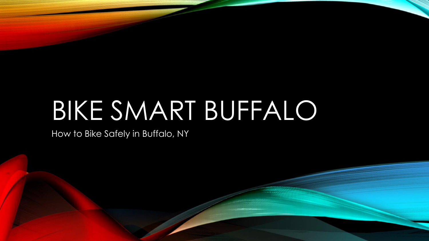# BIKE SMART BUFFALO

How to Bike Safely in Buffalo, NY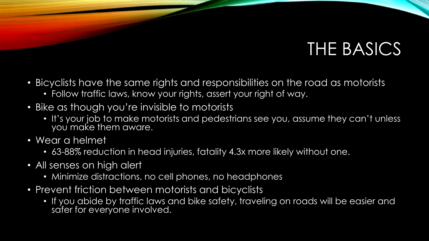#### THE BASICS

- Bicyclists have the same rights and responsibilities on the road as motorists
	- Follow traffic laws, know your rights, assert your right of way.
- Bike as though you're invisible to motorists
	- It's your job to make motorists and pedestrians see you, assume they can't unless you make them aware.
- Wear a helmet
	- 63-88% reduction in head injuries, fatality 4.3x more likely without one.
- All senses on high alert
	- Minimize distractions, no cell phones, no headphones
- Prevent friction between motorists and bicyclists
	- If you abide by traffic laws and bike safety, traveling on roads will be easier and safer for everyone involved.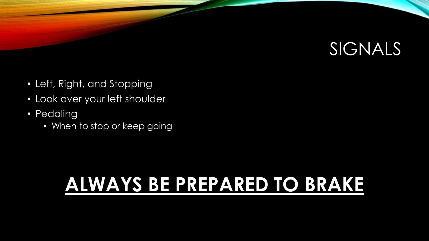

- Left, Right, and Stopping
- Look over your left shoulder
- Pedaling
	- When to stop or keep going

## **ALWAYS BE PREPARED TO BRAKE**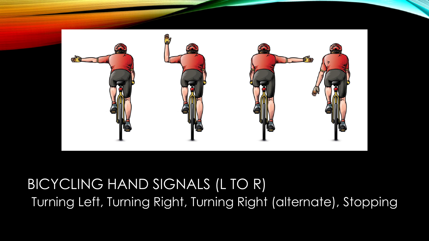

#### BICYCLING HAND SIGNALS (L TO R) Turning Left, Turning Right, Turning Right (alternate), Stopping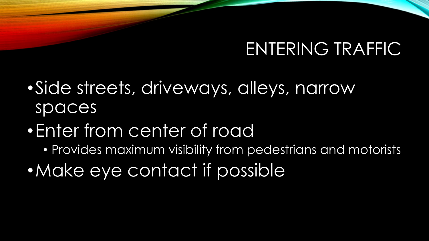#### ENTERING TRAFFIC

- •Side streets, driveways, alleys, narrow spaces
- •Enter from center of road
	- Provides maximum visibility from pedestrians and motorists
- Make eye contact if possible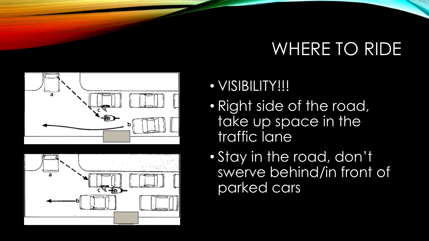#### WHERE TO RIDE





- VISIBILITY!!!
- Right side of the road, take up space in the traffic lane
- Stay in the road, don't swerve behind/in front of parked cars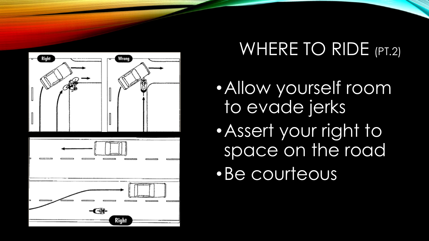

## WHERE TO RIDE (PT.2)

- •Allow yourself room to evade jerks
- •Assert your right to space on the road
- •Be courteous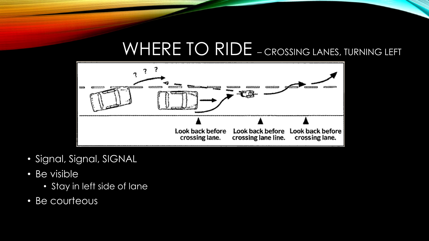#### WHERE TO RIDE – CROSSING LANES, TURNING LEFT



- Signal, Signal, SIGNAL
- Be visible
	- Stay in left side of lane
- Be courteous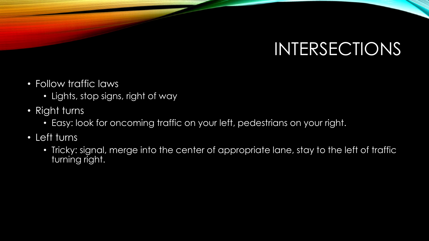## INTERSECTIONS

- Follow traffic laws
	- Lights, stop signs, right of way
- Right turns
	- Easy: look for oncoming traffic on your left, pedestrians on your right.
- Left turns
	- Tricky: signal, merge into the center of appropriate lane, stay to the left of traffic turning right.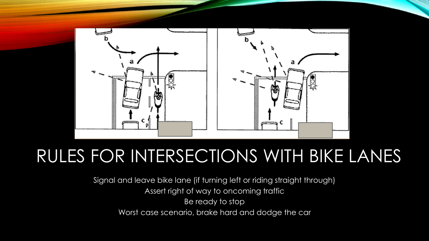

#### RULES FOR INTERSECTIONS WITH BIKE LANES

Signal and leave bike lane (if turning left or riding straight through) Assert right of way to oncoming traffic Be ready to stop Worst case scenario, brake hard and dodge the car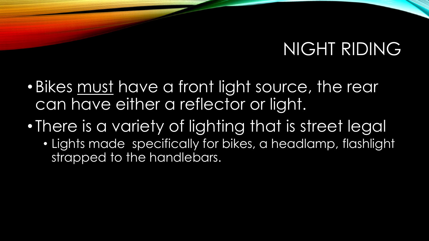#### NIGHT RIDING

- Bikes must have a front light source, the rear can have either a reflector or light.
- There is a variety of lighting that is street legal
	- Lights made specifically for bikes, a headlamp, flashlight strapped to the handlebars.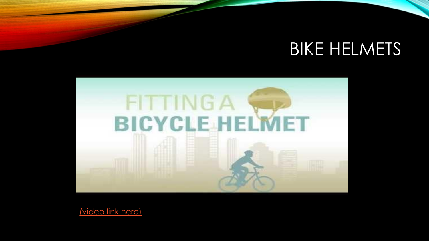#### **BIKE HELMETS**



[\(video link here\)](https://youtu.be/hLlXswx0VvQ?list=PL2GlXO1j4M71hq7Djsuszkie2Z6rIaPXF)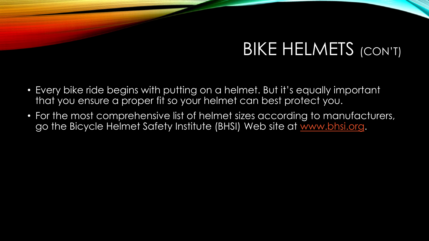#### BIKE HELMETS (CON'T)

- Every bike ride begins with putting on a helmet. But it's equally important that you ensure a proper fit so your helmet can best protect you.
- For the most comprehensive list of helmet sizes according to manufacturers, go the Bicycle Helmet Safety Institute (BHSI) Web site at [www.bhsi.org.](http://www.bhsi.org/)